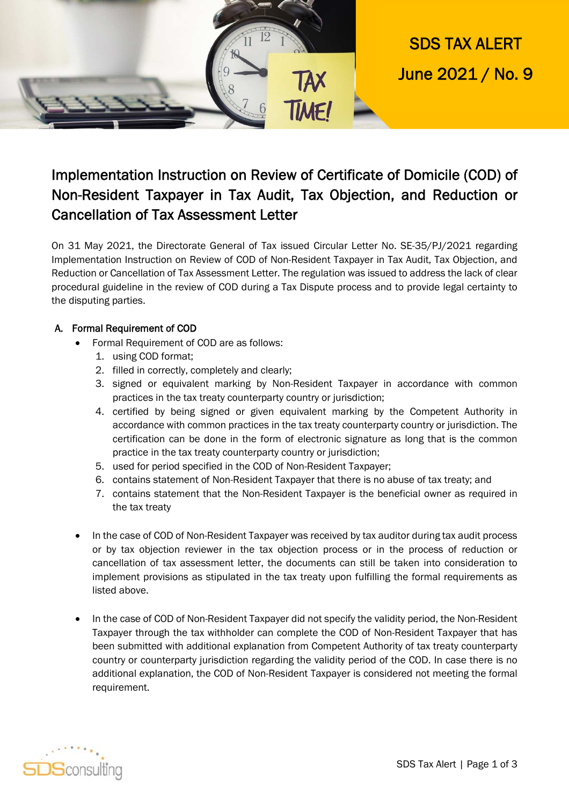



## Implementation Instruction on Review of Certificate of Domicile (COD) of Non-Resident Taxpayer in Tax Audit, Tax Objection, and Reduction or Cancellation of Tax Assessment Letter

On 31 May 2021, the Directorate General of Tax issued Circular Letter No. SE-35/PJ/2021 regarding Implementation Instruction on Review of COD of Non-Resident Taxpayer in Tax Audit, Tax Objection, and Reduction or Cancellation of Tax Assessment Letter. The regulation was issued to address the lack of clear procedural guideline in the review of COD during a Tax Dispute process and to provide legal certainty to the disputing parties.

#### A. Formal Requirement of COD

- Formal Requirement of COD are as follows:
	- 1. using COD format;
	- 2. filled in correctly, completely and clearly;
	- 3. signed or equivalent marking by Non-Resident Taxpayer in accordance with common practices in the tax treaty counterparty country or jurisdiction;
	- 4. certified by being signed or given equivalent marking by the Competent Authority in accordance with common practices in the tax treaty counterparty country or jurisdiction. The certification can be done in the form of electronic signature as long that is the common practice in the tax treaty counterparty country or jurisdiction;
	- 5. used for period specified in the COD of Non-Resident Taxpayer;
	- 6. contains statement of Non-Resident Taxpayer that there is no abuse of tax treaty; and
	- 7. contains statement that the Non-Resident Taxpayer is the beneficial owner as required in the tax treaty
- In the case of COD of Non-Resident Taxpayer was received by tax auditor during tax audit process or by tax objection reviewer in the tax objection process or in the process of reduction or cancellation of tax assessment letter, the documents can still be taken into consideration to implement provisions as stipulated in the tax treaty upon fulfilling the formal requirements as listed above.
- In the case of COD of Non-Resident Taxpayer did not specify the validity period, the Non-Resident Taxpayer through the tax withholder can complete the COD of Non-Resident Taxpayer that has been submitted with additional explanation from Competent Authority of tax treaty counterparty country or counterparty jurisdiction regarding the validity period of the COD. In case there is no additional explanation, the COD of Non-Resident Taxpayer is considered not meeting the formal requirement.

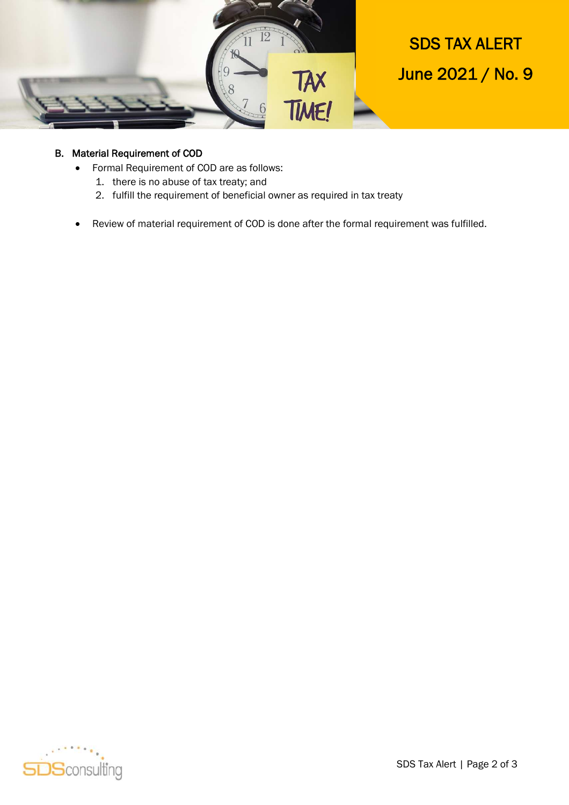

# SDS TAX ALERT June 2021 / No. 9

#### B. Material Requirement of COD

- Formal Requirement of COD are as follows:
	- 1. there is no abuse of tax treaty; and
	- 2. fulfill the requirement of beneficial owner as required in tax treaty
- Review of material requirement of COD is done after the formal requirement was fulfilled.